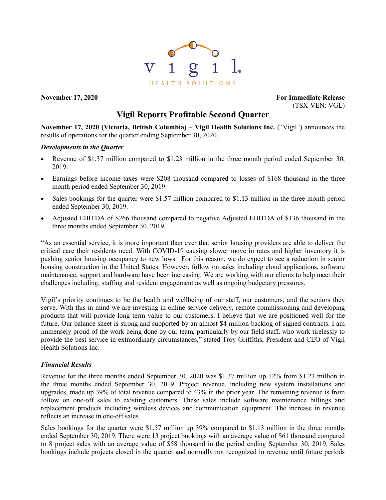

**November 17, 2020 For Immediate Release** (TSX-VEN: VGL)

# **Vigil Reports Profitable Second Quarter**

**November 17, 2020 (Victoria, British Columbia) – Vigil Health Solutions Inc.** ("Vigil") announces the results of operations for the quarter ending September 30, 2020.

#### *Developments in the Quarter*

- Revenue of \$1.37 million compared to \$1.23 million in the three month period ended September 30, 2019.
- Earnings before income taxes were \$208 thousand compared to losses of \$168 thousand in the three month period ended September 30, 2019.
- Sales bookings for the quarter were \$1.57 million compared to \$1.13 million in the three month period ended September 30, 2019.
- Adjusted EBITDA of \$266 thousand compared to negative Adjusted EBITDA of \$136 thousand in the three months ended September 30, 2019.

"As an essential service, it is more important than ever that senior housing providers are able to deliver the critical care their residents need. With COVID-19 causing slower move in rates and higher inventory it is pushing senior housing occupancy to new lows. For this reason, we do expect to see a reduction in senior housing construction in the United States. However, follow on sales including cloud applications, software maintenance, support and hardware have been increasing. We are working with our clients to help meet their challenges including, staffing and resident engagement as well as ongoing budgetary pressures.

Vigil's priority continues to be the health and wellbeing of our staff, our customers, and the seniors they serve. With this in mind we are investing in online service delivery, remote commissioning and developing products that will provide long term value to our customers. I believe that we are positioned well for the future. Our balance sheet is strong and supported by an almost \$4 million backlog of signed contracts. I am immensely proud of the work being done by our team, particularly by our field staff, who work tirelessly to provide the best service in extraordinary circumstances," stated Troy Griffiths, President and CEO of Vigil Health Solutions Inc.

# *Financial Results*

Revenue for the three months ended September 30, 2020 was \$1.37 million up 12% from \$1.23 million in the three months ended September 30, 2019. Project revenue, including new system installations and upgrades, made up 39% of total revenue compared to 43% in the prior year. The remaining revenue is from follow on one-off sales to existing customers. These sales include software maintenance billings and replacement products including wireless devices and communication equipment. The increase in revenue reflects an increase in one-off sales.

Sales bookings for the quarter were \$1.57 million up 39% compared to \$1.13 million in the three months ended September 30, 2019. There were 13 project bookings with an average value of \$61 thousand compared to 8 project sales with an average value of \$58 thousand in the period ending September 30, 2019. Sales bookings include projects closed in the quarter and normally not recognized in revenue until future periods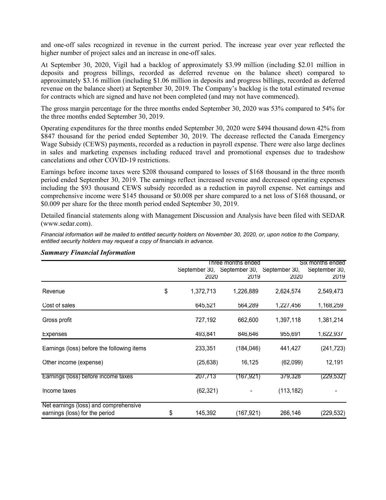and one-off sales recognized in revenue in the current period. The increase year over year reflected the higher number of project sales and an increase in one-off sales.

At September 30, 2020, Vigil had a backlog of approximately \$3.99 million (including \$2.01 million in deposits and progress billings, recorded as deferred revenue on the balance sheet) compared to approximately \$3.16 million (including \$1.06 million in deposits and progress billings, recorded as deferred revenue on the balance sheet) at September 30, 2019. The Company's backlog is the total estimated revenue for contracts which are signed and have not been completed (and may not have commenced).

The gross margin percentage for the three months ended September 30, 2020 was 53% compared to 54% for the three months ended September 30, 2019.

Operating expenditures for the three months ended September 30, 2020 were \$494 thousand down 42% from \$847 thousand for the period ended September 30, 2019. The decrease reflected the Canada Emergency Wage Subsidy (CEWS) payments, recorded as a reduction in payroll expense. There were also large declines in sales and marketing expenses including reduced travel and promotional expenses due to tradeshow cancelations and other COVID-19 restrictions.

Earnings before income taxes were \$208 thousand compared to losses of \$168 thousand in the three month period ended September 30, 2019. The earnings reflect increased revenue and decreased operating expenses including the \$93 thousand CEWS subsidy recorded as a reduction in payroll expense. Net earnings and comprehensive income were \$145 thousand or \$0.008 per share compared to a net loss of \$168 thousand, or \$0.009 per share for the three month period ended September 30, 2019.

Detailed financial statements along with Management Discussion and Analysis have been filed with SEDAR (www.sedar.com).

*Financial information will be mailed to entitled security holders on November 30, 2020, or, upon notice to the Company, entitled security holders may request a copy of financials in advance.*

| Six months ended<br>Three months ended |               |                                |                                                                                                 |  |
|----------------------------------------|---------------|--------------------------------|-------------------------------------------------------------------------------------------------|--|
|                                        |               |                                | September 30,                                                                                   |  |
|                                        |               |                                | 2019                                                                                            |  |
| 1,372,713                              | 1,226,889     | 2,624,574                      | 2,549,473                                                                                       |  |
| 645,521                                | 564,289       | 1,227,456                      | 1,168,259                                                                                       |  |
| 727,192                                | 662,600       | 1,397,118                      | 1,381,214                                                                                       |  |
| 493,841                                | 846,646       | 955,691                        | 1,622,937                                                                                       |  |
| 233,351                                |               | 441,427                        | (241, 723)                                                                                      |  |
|                                        | 16,125        | (62,099)                       | 12,191                                                                                          |  |
| 207,713                                | (167,921)     | 379,328                        | (229, 532)                                                                                      |  |
|                                        |               | (113, 182)                     |                                                                                                 |  |
|                                        |               |                                | (229, 532)                                                                                      |  |
|                                        | 145,392<br>\$ | 2020<br>(25, 638)<br>(62, 321) | September 30, September 30, September 30,<br>2019<br>2020<br>(184, 046)<br>(167,921)<br>266,146 |  |

# *Summary Financial Information*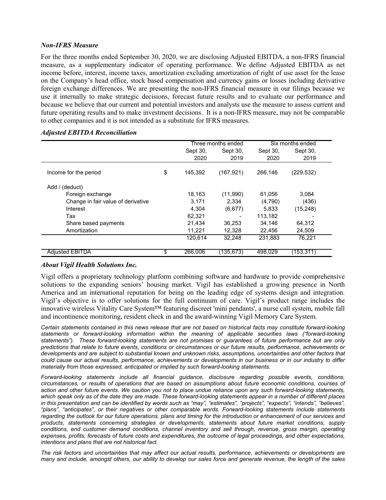### *Non-IFRS Measure*

For the three months ended September 30, 2020, we are disclosing Adjusted EBITDA, a non-IFRS financial measure, as a supplementary indicator of operating performance. We define Adjusted EBITDA as net income before, interest, income taxes, amortization excluding amortization of right of use asset for the lease on the Company's head office, stock based compensation and currency gains or losses including derivative foreign exchange differences. We are presenting the non-IFRS financial measure in our filings because we use it internally to make strategic decisions, forecast future results and to evaluate our performance and because we believe that our current and potential investors and analysts use the measure to assess current and future operating results and to make investment decisions. It is a non-IFRS measure, may not be comparable to other companies and it is not intended as a substitute for IFRS measures.

|                                    | Three months ended |            | Six months ended |            |  |
|------------------------------------|--------------------|------------|------------------|------------|--|
|                                    | Sept 30,           | Sept 30,   | Sept 30,         | Sept 30,   |  |
|                                    | 2020               | 2019       | 2020             | 2019       |  |
| Income for the period              | \$<br>145.392      | (167, 921) | 266,146          | (229, 532) |  |
| Add / (deduct)                     |                    |            |                  |            |  |
| Foreign exchange                   | 18,163             | (11,990)   | 61,056           | 3.084      |  |
| Change in fair value of derivative | 3,171              | 2.334      | (4,790)          | (436)      |  |
| Interest                           | 4.304              | (6,677)    | 5,833            | (15, 248)  |  |
| Tax                                | 62,321             |            | 113,182          |            |  |
| Share based payments               | 21,434             | 36.253     | 34.146           | 64,312     |  |
| Amortization                       | 11,221             | 12,328     | 22,456           | 24,509     |  |
|                                    | 120,614            | 32.248     | 231,883          | 76,221     |  |
| <b>Adjusted EBITDA</b>             | \$<br>266,006      | 135,673)   | 498,029          | (153,311)  |  |

# *Adjusted EBITDA Reconciliation*

# *About Vigil Health Solutions Inc.*

Vigil offers a proprietary technology platform combining software and hardware to provide comprehensive solutions to the expanding seniors' housing market. Vigil has established a growing presence in North America and an international reputation for being on the leading edge of systems design and integration. Vigil's objective is to offer solutions for the full continuum of care. Vigil's product range includes the innovative wireless Vitality Care System™ featuring discreet 'mini pendants', a nurse call system, mobile fall and incontinence monitoring, resident check in and the award-winning Vigil Memory Care System.

*Certain statements contained in this news release that are not based on historical facts may constitute forward-looking statements or forward-looking information within the meaning of applicable securities laws ("forward-looking statements"). These forward-looking statements are not promises or guarantees of future performance but are only predictions that relate to future events, conditions or circumstances or our future results, performance, achievements or developments and are subject to substantial known and unknown risks, assumptions, uncertainties and other factors that could cause our actual results, performance, achievements or developments in our business or in our industry to differ materially from those expressed, anticipated or implied by such forward-looking statements.*

*Forward-looking statements include all financial guidance, disclosure regarding possible events, conditions, circumstances, or results of operations that are based on assumptions about future economic conditions, courses of action and other future events. We caution you not to place undue reliance upon any such forward-looking statements, which speak only as of the date they are made. These forward-looking statements appear in a number of different places in this presentation and can be identified by words such as "may", "estimates", "projects", "expects", "intends", "believes",*  "plans", "anticipates", or their negatives or other comparable words. Forward-looking statements include statements *regarding the outlook for our future operations, plans and timing for the introduction or enhancement of our services and products, statements concerning strategies or developments, statements about future market conditions, supply conditions, end customer demand conditions, channel inventory and sell through, revenue, gross margin, operating expenses, profits, forecasts of future costs and expenditures, the outcome of legal proceedings, and other expectations, intentions and plans that are not historical fact.*

*The risk factors and uncertainties that may affect our actual results, performance, achievements or developments are many and include, amongst others, our ability to develop our sales force and generate revenue, the length of the sales*